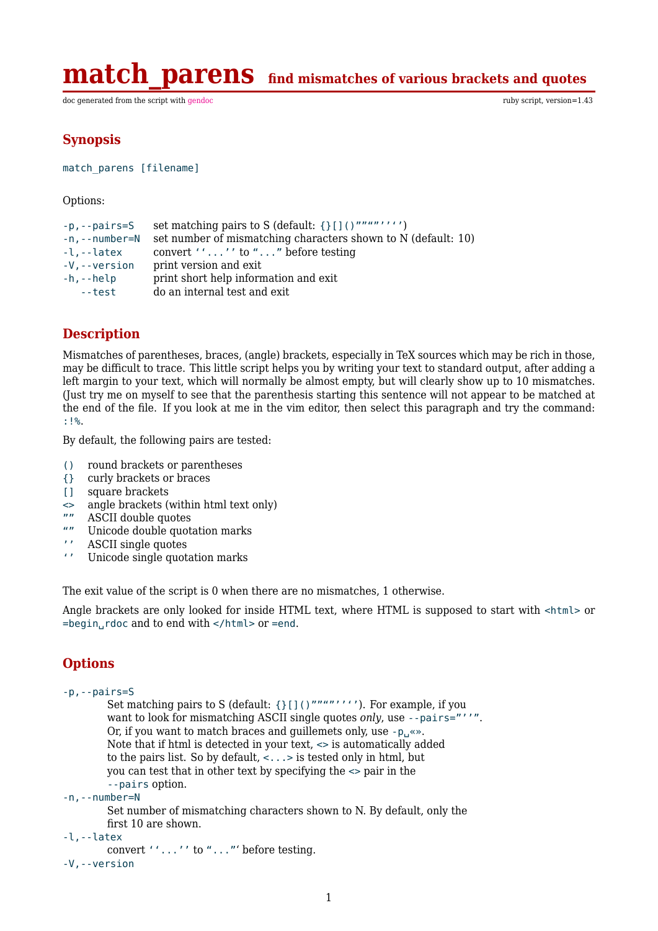**match parens** find mismatches of various brackets and quotes

doc generated from the script with [gendoc](http://www.dekkerdocumenten.nl/unix/doc/gendoc.pdf) ruby script, version=1.43

## **Synopsis**

match\_parens [filename]

Options:

```
-p, --pairs=S set matching pairs to S (default: {}[]()""""''''')
-n,--number=N set number of mismatching characters shown to N (default: 10)
-l,--latex convert ''...'' to "..." before testing<br>-V,--version print version and exit
                  print version and exit
-h,--help print short help information and exit
   --test do an internal test and exit
```
# **Description**

Mismatches of parentheses, braces, (angle) brackets, especially in TeX sources which may be rich in those, may be difficult to trace. This little script helps you by writing your text to standard output, after adding a left margin to your text, which will normally be almost empty, but will clearly show up to 10 mismatches. (Just try me on myself to see that the parenthesis starting this sentence will not appear to be matched at the end of the file. If you look at me in the vim editor, then select this paragraph and try the command: :!%.

By default, the following pairs are tested:

- () round brackets or parentheses
- {} curly brackets or braces
- [1] square brackets
- $\Rightarrow$  angle brackets (within html text only)
- ASCII double quotes
- "" Unicode double quotation marks
- '' ASCII single quotes
- Unicode single quotation marks

The exit value of the script is 0 when there are no mismatches, 1 otherwise.

Angle brackets are only looked for inside HTML text, where HTML is supposed to start with <html> or =begin␣rdoc and to end with </html> or =end.

# **Options**

```
-p,--pairs=S
        Set matching pairs to S (default: {}[]()""""''''). For example, if you
        want to look for mismatching ASCII single quotes only, use --pairs="''".
        Or, if you want to match braces and guillemets only, use -p_{\mu} \ll p_{\mu}.
        Note that if html is detected in your text, <> is automatically added
        to the pairs list. So by default, <...> is tested only in html, but
        you can test that in other text by specifying the <> pair in the
        --pairs option.
-n,--number=N
        Set number of mismatching characters shown to N. By default, only the
        first 10 are shown.
-l,--latex
        convert ''...'' to "..."' before testing.
-V,--version
```